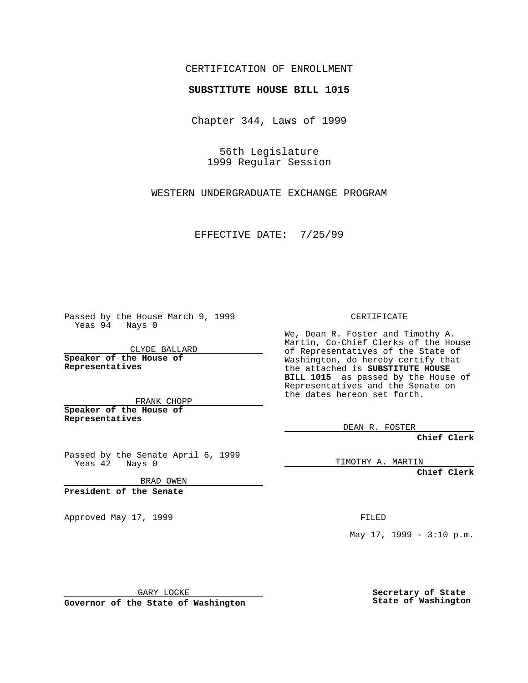## CERTIFICATION OF ENROLLMENT

## **SUBSTITUTE HOUSE BILL 1015**

Chapter 344, Laws of 1999

56th Legislature 1999 Regular Session

WESTERN UNDERGRADUATE EXCHANGE PROGRAM

EFFECTIVE DATE: 7/25/99

Passed by the House March 9, 1999 Yeas 94 Nays 0

CLYDE BALLARD **Speaker of the House of Representatives**

FRANK CHOPP **Speaker of the House of Representatives**

Passed by the Senate April 6, 1999 Yeas 42 Nays 0

BRAD OWEN

**President of the Senate**

Approved May 17, 1999 **FILED** 

CERTIFICATE

We, Dean R. Foster and Timothy A. Martin, Co-Chief Clerks of the House of Representatives of the State of Washington, do hereby certify that the attached is **SUBSTITUTE HOUSE BILL 1015** as passed by the House of Representatives and the Senate on the dates hereon set forth.

DEAN R. FOSTER

**Chief Clerk**

TIMOTHY A. MARTIN

**Chief Clerk**

May  $17$ ,  $1999 - 3:10$  p.m.

GARY LOCKE

**Governor of the State of Washington**

**Secretary of State State of Washington**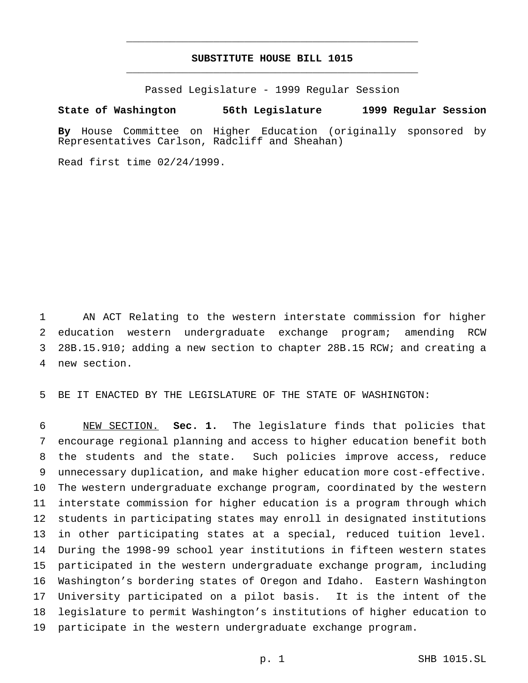## **SUBSTITUTE HOUSE BILL 1015** \_\_\_\_\_\_\_\_\_\_\_\_\_\_\_\_\_\_\_\_\_\_\_\_\_\_\_\_\_\_\_\_\_\_\_\_\_\_\_\_\_\_\_\_\_\_\_

\_\_\_\_\_\_\_\_\_\_\_\_\_\_\_\_\_\_\_\_\_\_\_\_\_\_\_\_\_\_\_\_\_\_\_\_\_\_\_\_\_\_\_\_\_\_\_

Passed Legislature - 1999 Regular Session

## **State of Washington 56th Legislature 1999 Regular Session**

**By** House Committee on Higher Education (originally sponsored by Representatives Carlson, Radcliff and Sheahan)

Read first time 02/24/1999.

 AN ACT Relating to the western interstate commission for higher education western undergraduate exchange program; amending RCW 28B.15.910; adding a new section to chapter 28B.15 RCW; and creating a new section.

BE IT ENACTED BY THE LEGISLATURE OF THE STATE OF WASHINGTON:

 NEW SECTION. **Sec. 1.** The legislature finds that policies that encourage regional planning and access to higher education benefit both the students and the state. Such policies improve access, reduce unnecessary duplication, and make higher education more cost-effective. The western undergraduate exchange program, coordinated by the western interstate commission for higher education is a program through which students in participating states may enroll in designated institutions in other participating states at a special, reduced tuition level. During the 1998-99 school year institutions in fifteen western states participated in the western undergraduate exchange program, including Washington's bordering states of Oregon and Idaho. Eastern Washington University participated on a pilot basis. It is the intent of the legislature to permit Washington's institutions of higher education to participate in the western undergraduate exchange program.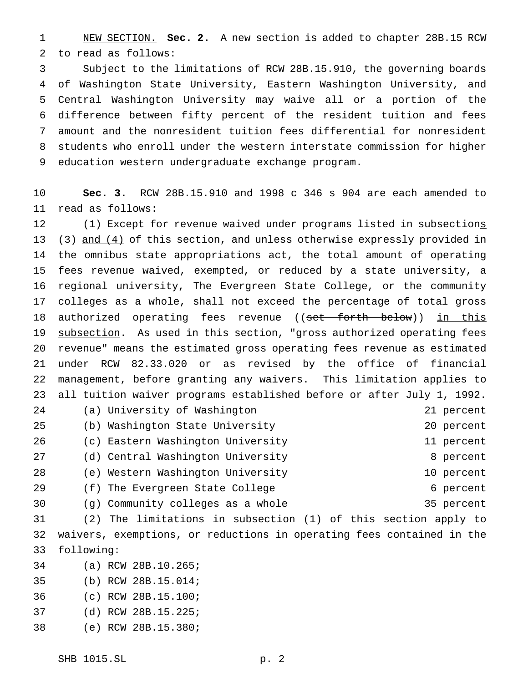NEW SECTION. **Sec. 2.** A new section is added to chapter 28B.15 RCW to read as follows:

 Subject to the limitations of RCW 28B.15.910, the governing boards of Washington State University, Eastern Washington University, and Central Washington University may waive all or a portion of the difference between fifty percent of the resident tuition and fees amount and the nonresident tuition fees differential for nonresident students who enroll under the western interstate commission for higher education western undergraduate exchange program.

 **Sec. 3.** RCW 28B.15.910 and 1998 c 346 s 904 are each amended to read as follows:

 (1) Except for revenue waived under programs listed in subsections 13 (3) and (4) of this section, and unless otherwise expressly provided in the omnibus state appropriations act, the total amount of operating fees revenue waived, exempted, or reduced by a state university, a regional university, The Evergreen State College, or the community colleges as a whole, shall not exceed the percentage of total gross 18 authorized operating fees revenue ((set forth below)) in this 19 subsection. As used in this section, "gross authorized operating fees revenue" means the estimated gross operating fees revenue as estimated under RCW 82.33.020 or as revised by the office of financial management, before granting any waivers. This limitation applies to all tuition waiver programs established before or after July 1, 1992. (a) University of Washington 21 percent (b) Washington State University 20 percent (c) Eastern Washington University 11 percent 27 (d) Central Washington University **8** percent (e) Western Washington University 10 percent 29 (f) The Evergreen State College 6 percent (g) Community colleges as a whole 35 percent (2) The limitations in subsection (1) of this section apply to

 waivers, exemptions, or reductions in operating fees contained in the following:

- (a) RCW 28B.10.265;
- (b) RCW 28B.15.014;
- (c) RCW 28B.15.100;
- (d) RCW 28B.15.225;
- (e) RCW 28B.15.380;

SHB 1015.SL p. 2